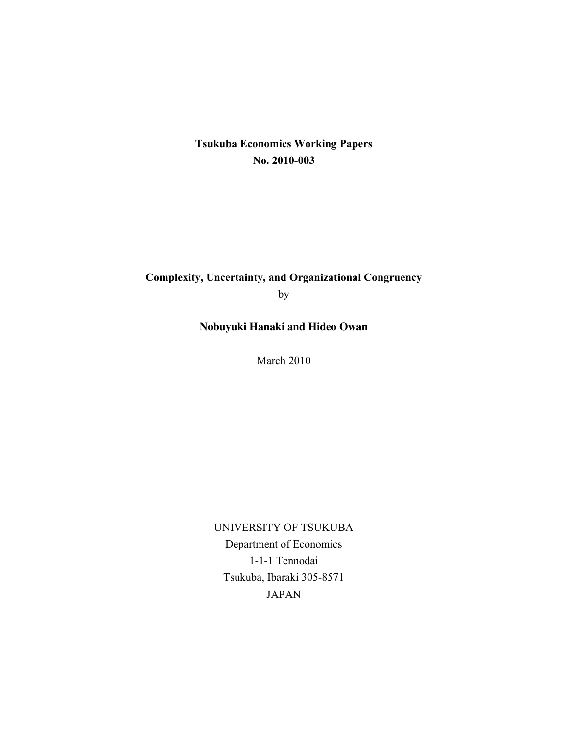#### **Tsukuba Economics Working Papers No. 2010-003**

### **Complexity, Uncertainty, and Organizational Congruency** by

**Nobuyuki Hanaki and Hideo Owan**

March 2010

UNIVERSITY OF TSUKUBA Department of Economics 1-1-1 Tennodai Tsukuba, Ibaraki 305-8571 JAPAN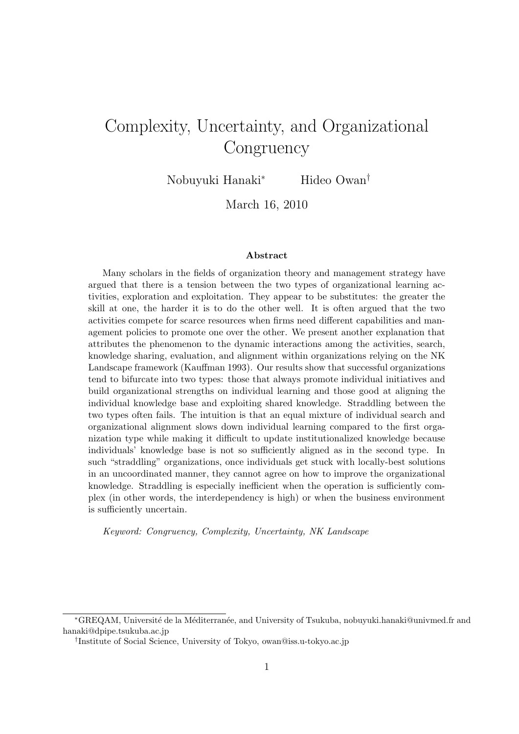# Complexity, Uncertainty, and Organizational **Congruency**

Nobuyuki Hanaki*<sup>∗</sup>* Hideo Owan*†*

March 16, 2010

#### **Abstract**

Many scholars in the fields of organization theory and management strategy have argued that there is a tension between the two types of organizational learning activities, exploration and exploitation. They appear to be substitutes: the greater the skill at one, the harder it is to do the other well. It is often argued that the two activities compete for scarce resources when firms need different capabilities and management policies to promote one over the other. We present another explanation that attributes the phenomenon to the dynamic interactions among the activities, search, knowledge sharing, evaluation, and alignment within organizations relying on the NK Landscape framework (Kauffman 1993). Our results show that successful organizations tend to bifurcate into two types: those that always promote individual initiatives and build organizational strengths on individual learning and those good at aligning the individual knowledge base and exploiting shared knowledge. Straddling between the two types often fails. The intuition is that an equal mixture of individual search and organizational alignment slows down individual learning compared to the first organization type while making it difficult to update institutionalized knowledge because individuals' knowledge base is not so sufficiently aligned as in the second type. In such "straddling" organizations, once individuals get stuck with locally-best solutions in an uncoordinated manner, they cannot agree on how to improve the organizational knowledge. Straddling is especially inefficient when the operation is sufficiently complex (in other words, the interdependency is high) or when the business environment is sufficiently uncertain.

*Keyword: Congruency, Complexity, Uncertainty, NK Landscape*

*<sup>\*</sup>GREQAM*, Université de la Méditerranée, and University of Tsukuba, nobuyuki.hanaki@univmed.fr and hanaki@dpipe.tsukuba.ac.jp

*<sup>†</sup>* Institute of Social Science, University of Tokyo, owan@iss.u-tokyo.ac.jp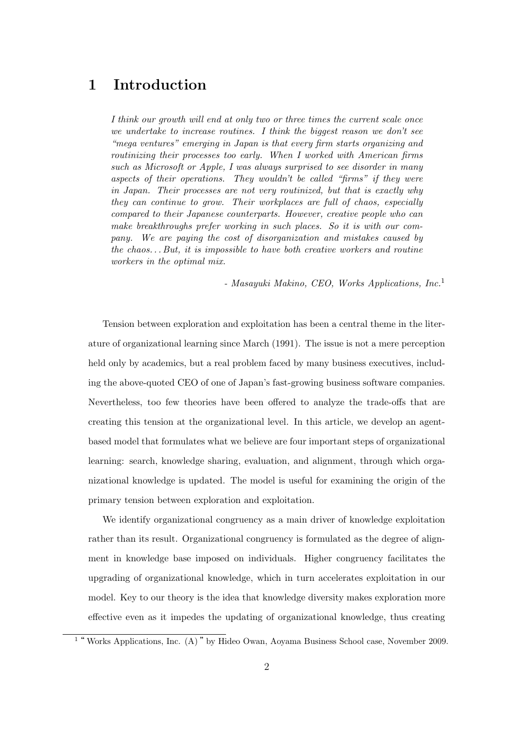# **1 Introduction**

*I think our growth will end at only two or three times the current scale once we undertake to increase routines. I think the biggest reason we don't see "mega ventures" emerging in Japan is that every firm starts organizing and routinizing their processes too early. When I worked with American firms such as Microsoft or Apple, I was always surprised to see disorder in many aspects of their operations. They wouldn't be called "firms" if they were in Japan. Their processes are not very routinized, but that is exactly why they can continue to grow. Their workplaces are full of chaos, especially compared to their Japanese counterparts. However, creative people who can make breakthroughs prefer working in such places. So it is with our company. We are paying the cost of disorganization and mistakes caused by the chaos. . . But, it is impossible to have both creative workers and routine workers in the optimal mix.*

*- Masayuki Makino, CEO, Works Applications, Inc.*<sup>1</sup>

Tension between exploration and exploitation has been a central theme in the literature of organizational learning since March (1991). The issue is not a mere perception held only by academics, but a real problem faced by many business executives, including the above-quoted CEO of one of Japan's fast-growing business software companies. Nevertheless, too few theories have been offered to analyze the trade-offs that are creating this tension at the organizational level. In this article, we develop an agentbased model that formulates what we believe are four important steps of organizational learning: search, knowledge sharing, evaluation, and alignment, through which organizational knowledge is updated. The model is useful for examining the origin of the primary tension between exploration and exploitation.

We identify organizational congruency as a main driver of knowledge exploitation rather than its result. Organizational congruency is formulated as the degree of alignment in knowledge base imposed on individuals. Higher congruency facilitates the upgrading of organizational knowledge, which in turn accelerates exploitation in our model. Key to our theory is the idea that knowledge diversity makes exploration more effective even as it impedes the updating of organizational knowledge, thus creating

<sup>&</sup>lt;sup>1</sup> "Works Applications, Inc. (A) " by Hideo Owan, Aoyama Business School case, November 2009.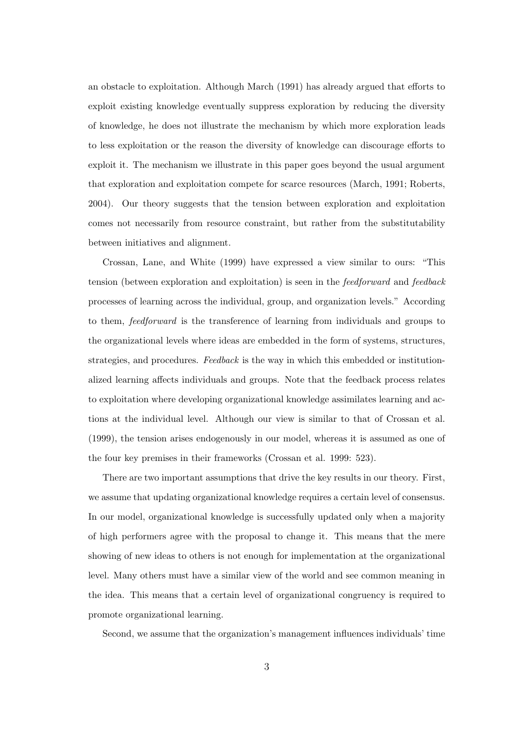an obstacle to exploitation. Although March (1991) has already argued that efforts to exploit existing knowledge eventually suppress exploration by reducing the diversity of knowledge, he does not illustrate the mechanism by which more exploration leads to less exploitation or the reason the diversity of knowledge can discourage efforts to exploit it. The mechanism we illustrate in this paper goes beyond the usual argument that exploration and exploitation compete for scarce resources (March, 1991; Roberts, 2004). Our theory suggests that the tension between exploration and exploitation comes not necessarily from resource constraint, but rather from the substitutability between initiatives and alignment.

Crossan, Lane, and White (1999) have expressed a view similar to ours: "This tension (between exploration and exploitation) is seen in the *feedforward* and *feedback* processes of learning across the individual, group, and organization levels." According to them, *feedforward* is the transference of learning from individuals and groups to the organizational levels where ideas are embedded in the form of systems, structures, strategies, and procedures. *Feedback* is the way in which this embedded or institutionalized learning affects individuals and groups. Note that the feedback process relates to exploitation where developing organizational knowledge assimilates learning and actions at the individual level. Although our view is similar to that of Crossan et al. (1999), the tension arises endogenously in our model, whereas it is assumed as one of the four key premises in their frameworks (Crossan et al. 1999: 523).

There are two important assumptions that drive the key results in our theory. First, we assume that updating organizational knowledge requires a certain level of consensus. In our model, organizational knowledge is successfully updated only when a majority of high performers agree with the proposal to change it. This means that the mere showing of new ideas to others is not enough for implementation at the organizational level. Many others must have a similar view of the world and see common meaning in the idea. This means that a certain level of organizational congruency is required to promote organizational learning.

Second, we assume that the organization's management influences individuals' time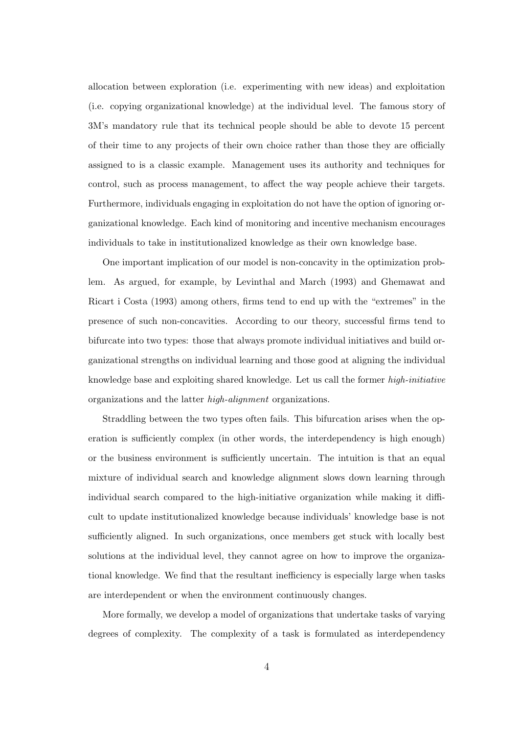allocation between exploration (i.e. experimenting with new ideas) and exploitation (i.e. copying organizational knowledge) at the individual level. The famous story of 3M's mandatory rule that its technical people should be able to devote 15 percent of their time to any projects of their own choice rather than those they are officially assigned to is a classic example. Management uses its authority and techniques for control, such as process management, to affect the way people achieve their targets. Furthermore, individuals engaging in exploitation do not have the option of ignoring organizational knowledge. Each kind of monitoring and incentive mechanism encourages individuals to take in institutionalized knowledge as their own knowledge base.

One important implication of our model is non-concavity in the optimization problem. As argued, for example, by Levinthal and March (1993) and Ghemawat and Ricart i Costa (1993) among others, firms tend to end up with the "extremes" in the presence of such non-concavities. According to our theory, successful firms tend to bifurcate into two types: those that always promote individual initiatives and build organizational strengths on individual learning and those good at aligning the individual knowledge base and exploiting shared knowledge. Let us call the former *high-initiative* organizations and the latter *high-alignment* organizations.

Straddling between the two types often fails. This bifurcation arises when the operation is sufficiently complex (in other words, the interdependency is high enough) or the business environment is sufficiently uncertain. The intuition is that an equal mixture of individual search and knowledge alignment slows down learning through individual search compared to the high-initiative organization while making it difficult to update institutionalized knowledge because individuals' knowledge base is not sufficiently aligned. In such organizations, once members get stuck with locally best solutions at the individual level, they cannot agree on how to improve the organizational knowledge. We find that the resultant inefficiency is especially large when tasks are interdependent or when the environment continuously changes.

More formally, we develop a model of organizations that undertake tasks of varying degrees of complexity. The complexity of a task is formulated as interdependency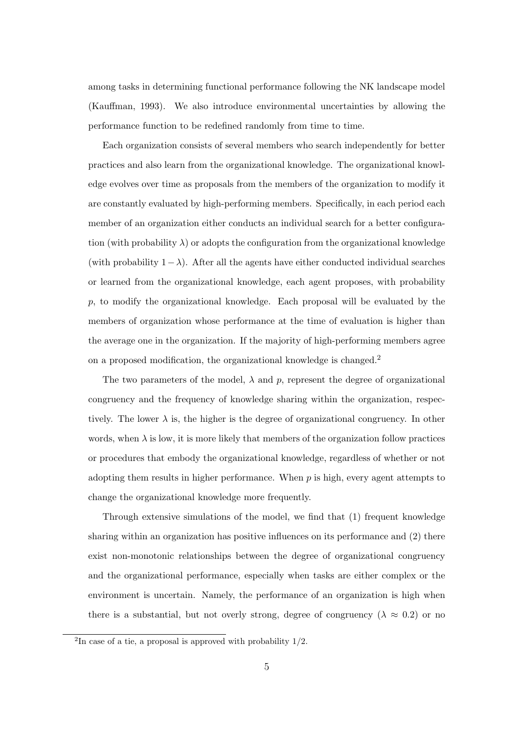among tasks in determining functional performance following the NK landscape model (Kauffman, 1993). We also introduce environmental uncertainties by allowing the performance function to be redefined randomly from time to time.

Each organization consists of several members who search independently for better practices and also learn from the organizational knowledge. The organizational knowledge evolves over time as proposals from the members of the organization to modify it are constantly evaluated by high-performing members. Specifically, in each period each member of an organization either conducts an individual search for a better configuration (with probability  $\lambda$ ) or adopts the configuration from the organizational knowledge (with probability  $1-\lambda$ ). After all the agents have either conducted individual searches or learned from the organizational knowledge, each agent proposes, with probability *p*, to modify the organizational knowledge. Each proposal will be evaluated by the members of organization whose performance at the time of evaluation is higher than the average one in the organization. If the majority of high-performing members agree on a proposed modification, the organizational knowledge is changed.<sup>2</sup>

The two parameters of the model,  $\lambda$  and  $p$ , represent the degree of organizational congruency and the frequency of knowledge sharing within the organization, respectively. The lower  $\lambda$  is, the higher is the degree of organizational congruency. In other words, when  $\lambda$  is low, it is more likely that members of the organization follow practices or procedures that embody the organizational knowledge, regardless of whether or not adopting them results in higher performance. When *p* is high, every agent attempts to change the organizational knowledge more frequently.

Through extensive simulations of the model, we find that (1) frequent knowledge sharing within an organization has positive influences on its performance and (2) there exist non-monotonic relationships between the degree of organizational congruency and the organizational performance, especially when tasks are either complex or the environment is uncertain. Namely, the performance of an organization is high when there is a substantial, but not overly strong, degree of congruency ( $\lambda \approx 0.2$ ) or no

<sup>&</sup>lt;sup>2</sup>In case of a tie, a proposal is approved with probability  $1/2$ .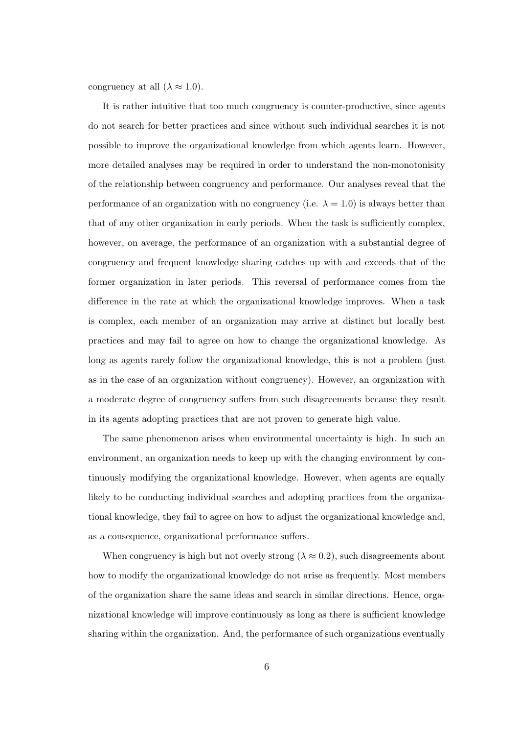congruency at all  $(\lambda \approx 1.0)$ .

It is rather intuitive that too much congruency is counter-productive, since agents do not search for better practices and since without such individual searches it is not possible to improve the organizational knowledge from which agents learn. However, more detailed analyses may be required in order to understand the non-monotonisity of the relationship between congruency and performance. Our analyses reveal that the performance of an organization with no congruency (i.e.  $\lambda = 1.0$ ) is always better than that of any other organization in early periods. When the task is sufficiently complex, however, on average, the performance of an organization with a substantial degree of congruency and frequent knowledge sharing catches up with and exceeds that of the former organization in later periods. This reversal of performance comes from the difference in the rate at which the organizational knowledge improves. When a task is complex, each member of an organization may arrive at distinct but locally best practices and may fail to agree on how to change the organizational knowledge. As long as agents rarely follow the organizational knowledge, this is not a problem (just as in the case of an organization without congruency). However, an organization with a moderate degree of congruency suffers from such disagreements because they result in its agents adopting practices that are not proven to generate high value.

The same phenomenon arises when environmental uncertainty is high. In such an environment, an organization needs to keep up with the changing environment by continuously modifying the organizational knowledge. However, when agents are equally likely to be conducting individual searches and adopting practices from the organizational knowledge, they fail to agree on how to adjust the organizational knowledge and, as a consequence, organizational performance suffers.

When congruency is high but not overly strong  $(\lambda \approx 0.2)$ , such disagreements about how to modify the organizational knowledge do not arise as frequently. Most members of the organization share the same ideas and search in similar directions. Hence, organizational knowledge will improve continuously as long as there is sufficient knowledge sharing within the organization. And, the performance of such organizations eventually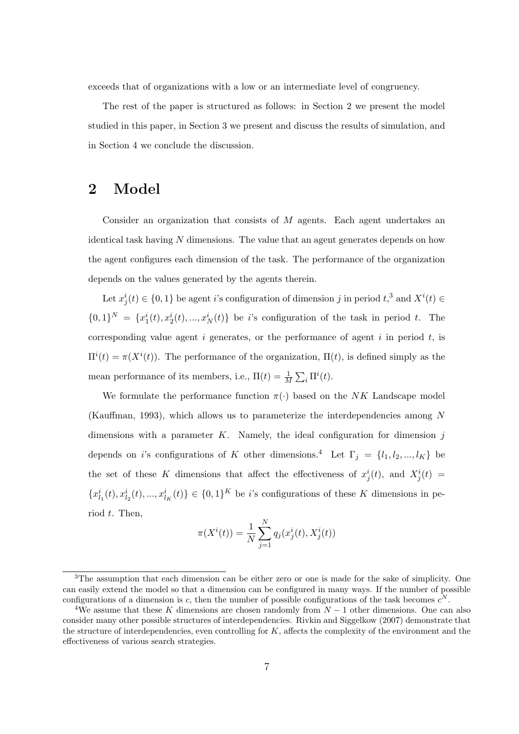exceeds that of organizations with a low or an intermediate level of congruency.

The rest of the paper is structured as follows: in Section 2 we present the model studied in this paper, in Section 3 we present and discuss the results of simulation, and in Section 4 we conclude the discussion.

### **2 Model**

Consider an organization that consists of *M* agents. Each agent undertakes an identical task having *N* dimensions. The value that an agent generates depends on how the agent configures each dimension of the task. The performance of the organization depends on the values generated by the agents therein.

Let  $x_j^i(t) \in \{0, 1\}$  be agent *i*'s configuration of dimension *j* in period  $t$ <sup>3</sup>, and  $X^i(t) \in$  $\{0,1\}^N = \{x_1^i(t), x_2^i(t), ..., x_N^i(t)\}\$ be *i*'s configuration of the task in period *t*. The corresponding value agent *i* generates, or the performance of agent *i* in period *t*, is  $\Pi^{i}(t) = \pi(X^{i}(t))$ . The performance of the organization,  $\Pi(t)$ , is defined simply as the mean performance of its members, i.e.,  $\Pi(t) = \frac{1}{M} \sum_i \Pi^i(t)$ .

We formulate the performance function  $\pi(\cdot)$  based on the *NK* Landscape model (Kauffman, 1993), which allows us to parameterize the interdependencies among *N* dimensions with a parameter *K*. Namely, the ideal configuration for dimension *j* depends on *i*'s configurations of *K* other dimensions.<sup>4</sup> Let  $\Gamma_j = \{l_1, l_2, ..., l_K\}$  be the set of these *K* dimensions that affect the effectiveness of  $x_j^i(t)$ , and  $X_j^i(t)$  ${x_{l_1}^i(t), x_{l_2}^i(t), ..., x_{l_K}^i(t)} \in {0,1}^K$  be *i*'s configurations of these K dimensions in period *t*. Then,

$$
\pi(X^{i}(t)) = \frac{1}{N} \sum_{j=1}^{N} q_{j}(x_{j}^{i}(t), X_{j}^{i}(t))
$$

<sup>&</sup>lt;sup>3</sup>The assumption that each dimension can be either zero or one is made for the sake of simplicity. One can easily extend the model so that a dimension can be configured in many ways. If the number of possible configurations of a dimension is *c*, then the number of possible configurations of the task becomes  $c^N$ .

<sup>4</sup>We assume that these *K* dimensions are chosen randomly from *N −* 1 other dimensions. One can also consider many other possible structures of interdependencies. Rivkin and Siggelkow (2007) demonstrate that the structure of interdependencies, even controlling for *K*, affects the complexity of the environment and the effectiveness of various search strategies.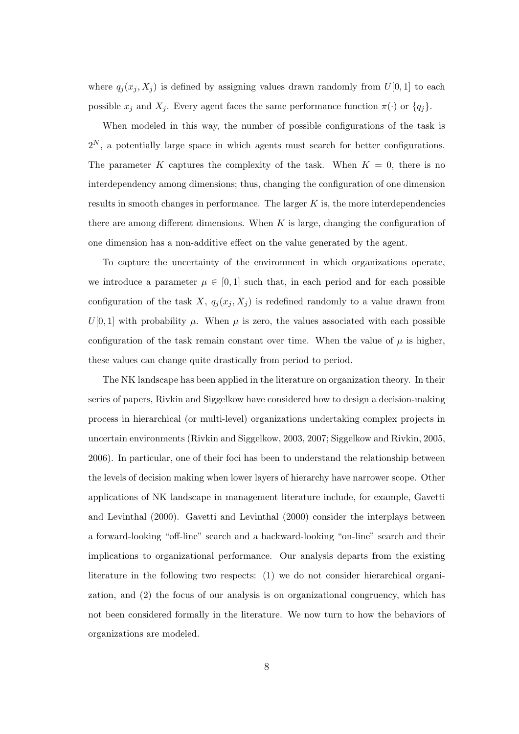where  $q_j(x_j, X_j)$  is defined by assigning values drawn randomly from  $U[0, 1]$  to each possible  $x_j$  and  $X_j$ . Every agent faces the same performance function  $\pi(\cdot)$  or  $\{q_j\}$ .

When modeled in this way, the number of possible configurations of the task is  $2^N$ , a potentially large space in which agents must search for better configurations. The parameter *K* captures the complexity of the task. When  $K = 0$ , there is no interdependency among dimensions; thus, changing the configuration of one dimension results in smooth changes in performance. The larger *K* is, the more interdependencies there are among different dimensions. When  $K$  is large, changing the configuration of one dimension has a non-additive effect on the value generated by the agent.

To capture the uncertainty of the environment in which organizations operate, we introduce a parameter  $\mu \in [0,1]$  such that, in each period and for each possible configuration of the task *X*,  $q_j(x_j, X_j)$  is redefined randomly to a value drawn from  $U[0,1]$  with probability  $\mu$ . When  $\mu$  is zero, the values associated with each possible configuration of the task remain constant over time. When the value of  $\mu$  is higher, these values can change quite drastically from period to period.

The NK landscape has been applied in the literature on organization theory. In their series of papers, Rivkin and Siggelkow have considered how to design a decision-making process in hierarchical (or multi-level) organizations undertaking complex projects in uncertain environments (Rivkin and Siggelkow, 2003, 2007; Siggelkow and Rivkin, 2005, 2006). In particular, one of their foci has been to understand the relationship between the levels of decision making when lower layers of hierarchy have narrower scope. Other applications of NK landscape in management literature include, for example, Gavetti and Levinthal (2000). Gavetti and Levinthal (2000) consider the interplays between a forward-looking "off-line" search and a backward-looking "on-line" search and their implications to organizational performance. Our analysis departs from the existing literature in the following two respects: (1) we do not consider hierarchical organization, and (2) the focus of our analysis is on organizational congruency, which has not been considered formally in the literature. We now turn to how the behaviors of organizations are modeled.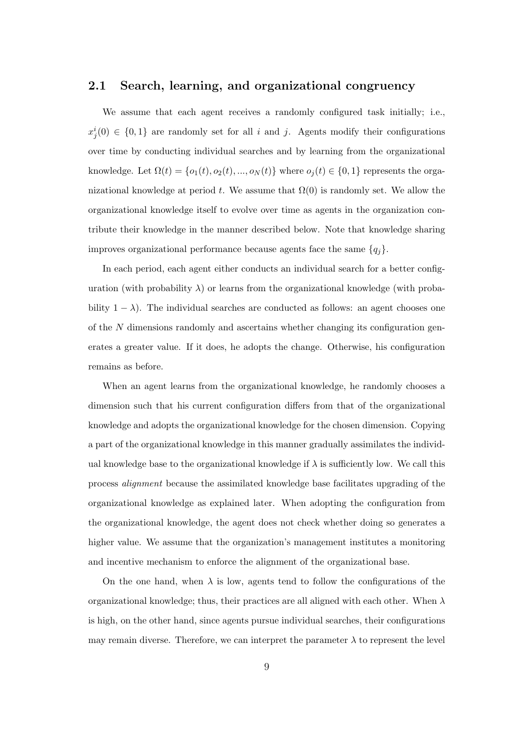#### **2.1 Search, learning, and organizational congruency**

We assume that each agent receives a randomly configured task initially; i.e.,  $x_j^i(0) \in \{0,1\}$  are randomly set for all *i* and *j*. Agents modify their configurations over time by conducting individual searches and by learning from the organizational knowledge. Let  $\Omega(t) = \{o_1(t), o_2(t), ..., o_N(t)\}$  where  $o_j(t) \in \{0, 1\}$  represents the organizational knowledge at period  $t$ . We assume that  $\Omega(0)$  is randomly set. We allow the organizational knowledge itself to evolve over time as agents in the organization contribute their knowledge in the manner described below. Note that knowledge sharing improves organizational performance because agents face the same  $\{q_j\}$ .

In each period, each agent either conducts an individual search for a better configuration (with probability  $\lambda$ ) or learns from the organizational knowledge (with probability  $1 - \lambda$ ). The individual searches are conducted as follows: an agent chooses one of the *N* dimensions randomly and ascertains whether changing its configuration generates a greater value. If it does, he adopts the change. Otherwise, his configuration remains as before.

When an agent learns from the organizational knowledge, he randomly chooses a dimension such that his current configuration differs from that of the organizational knowledge and adopts the organizational knowledge for the chosen dimension. Copying a part of the organizational knowledge in this manner gradually assimilates the individual knowledge base to the organizational knowledge if  $\lambda$  is sufficiently low. We call this process *alignment* because the assimilated knowledge base facilitates upgrading of the organizational knowledge as explained later. When adopting the configuration from the organizational knowledge, the agent does not check whether doing so generates a higher value. We assume that the organization's management institutes a monitoring and incentive mechanism to enforce the alignment of the organizational base.

On the one hand, when  $\lambda$  is low, agents tend to follow the configurations of the organizational knowledge; thus, their practices are all aligned with each other. When *λ* is high, on the other hand, since agents pursue individual searches, their configurations may remain diverse. Therefore, we can interpret the parameter  $\lambda$  to represent the level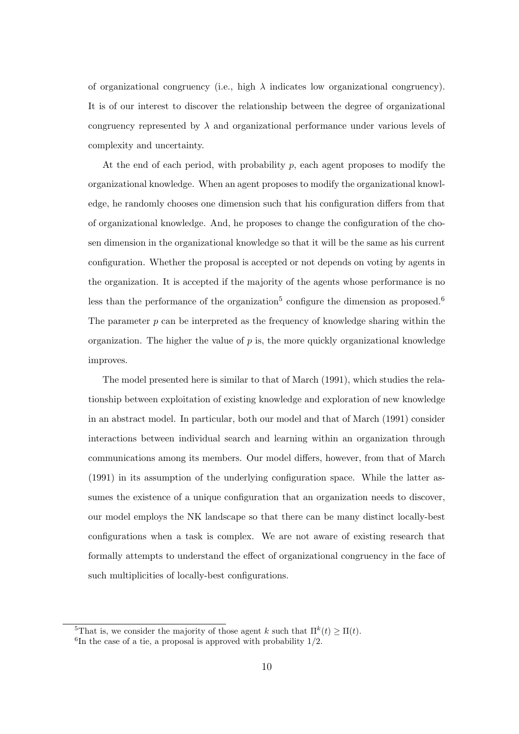of organizational congruency (i.e., high  $\lambda$  indicates low organizational congruency). It is of our interest to discover the relationship between the degree of organizational congruency represented by  $\lambda$  and organizational performance under various levels of complexity and uncertainty.

At the end of each period, with probability *p*, each agent proposes to modify the organizational knowledge. When an agent proposes to modify the organizational knowledge, he randomly chooses one dimension such that his configuration differs from that of organizational knowledge. And, he proposes to change the configuration of the chosen dimension in the organizational knowledge so that it will be the same as his current configuration. Whether the proposal is accepted or not depends on voting by agents in the organization. It is accepted if the majority of the agents whose performance is no less than the performance of the organization<sup>5</sup> configure the dimension as proposed.<sup>6</sup> The parameter *p* can be interpreted as the frequency of knowledge sharing within the organization. The higher the value of  $p$  is, the more quickly organizational knowledge improves.

The model presented here is similar to that of March (1991), which studies the relationship between exploitation of existing knowledge and exploration of new knowledge in an abstract model. In particular, both our model and that of March (1991) consider interactions between individual search and learning within an organization through communications among its members. Our model differs, however, from that of March (1991) in its assumption of the underlying configuration space. While the latter assumes the existence of a unique configuration that an organization needs to discover, our model employs the NK landscape so that there can be many distinct locally-best configurations when a task is complex. We are not aware of existing research that formally attempts to understand the effect of organizational congruency in the face of such multiplicities of locally-best configurations.

<sup>&</sup>lt;sup>5</sup>That is, we consider the majority of those agent *k* such that  $\Pi^k(t) \geq \Pi(t)$ .

<sup>6</sup> In the case of a tie, a proposal is approved with probability 1*/*2.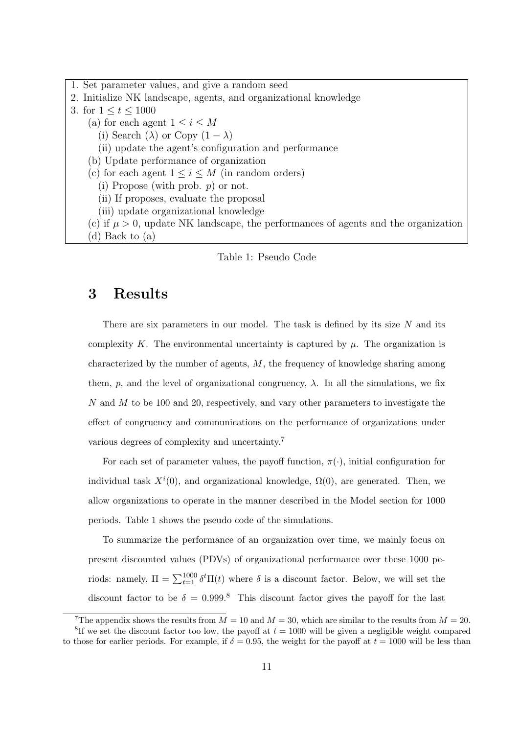1. Set parameter values, and give a random seed 2. Initialize NK landscape, agents, and organizational knowledge 3. for  $1 \le t \le 1000$ (a) for each agent  $1 \leq i \leq M$ (i) Search ( $\lambda$ ) or Copy (1 –  $\lambda$ ) (ii) update the agent's configuration and performance (b) Update performance of organization (c) for each agent  $1 \leq i \leq M$  (in random orders) (i) Propose (with prob. *p*) or not. (ii) If proposes, evaluate the proposal (iii) update organizational knowledge (c) if  $\mu > 0$ , update NK landscape, the performances of agents and the organization (d) Back to (a)

#### Table 1: Pseudo Code

### **3 Results**

There are six parameters in our model. The task is defined by its size *N* and its complexity  $K$ . The environmental uncertainty is captured by  $\mu$ . The organization is characterized by the number of agents, *M*, the frequency of knowledge sharing among them,  $p$ , and the level of organizational congruency,  $\lambda$ . In all the simulations, we fix *N* and *M* to be 100 and 20, respectively, and vary other parameters to investigate the effect of congruency and communications on the performance of organizations under various degrees of complexity and uncertainty.<sup>7</sup>

For each set of parameter values, the payoff function,  $\pi(\cdot)$ , initial configuration for individual task  $X^i(0)$ , and organizational knowledge,  $\Omega(0)$ , are generated. Then, we allow organizations to operate in the manner described in the Model section for 1000 periods. Table 1 shows the pseudo code of the simulations.

To summarize the performance of an organization over time, we mainly focus on present discounted values (PDVs) of organizational performance over these 1000 periods: namely,  $\Pi = \sum_{t=1}^{1000} \delta^t \Pi(t)$  where  $\delta$  is a discount factor. Below, we will set the discount factor to be  $\delta = 0.999$ .<sup>8</sup> This discount factor gives the payoff for the last

<sup>&</sup>lt;sup>7</sup>The appendix shows the results from  $M = 10$  and  $M = 30$ , which are similar to the results from  $M = 20$ . <sup>8</sup>If we set the discount factor too low, the payoff at  $t = 1000$  will be given a negligible weight compared to those for earlier periods. For example, if  $\delta = 0.95$ , the weight for the payoff at  $t = 1000$  will be less than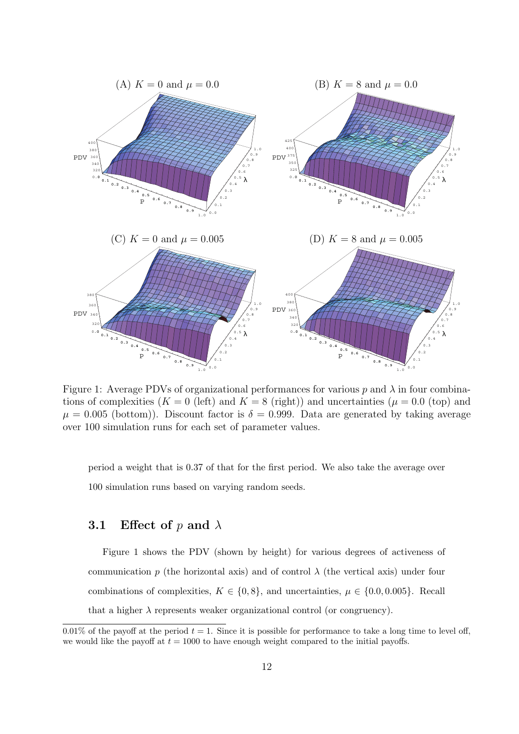

Figure 1: Average PDVs of organizational performances for various  $p$  and  $\lambda$  in four combinations of complexities  $(K = 0$  (left) and  $K = 8$  (right)) and uncertainties  $(\mu = 0.0$  (top) and  $\mu = 0.005$  (bottom)). Discount factor is  $\delta = 0.999$ . Data are generated by taking average over 100 simulation runs for each set of parameter values.

period a weight that is 0.37 of that for the first period. We also take the average over 100 simulation runs based on varying random seeds.

#### **3.1 Effect of** *p* **and** *λ*

Figure 1 shows the PDV (shown by height) for various degrees of activeness of communication  $p$  (the horizontal axis) and of control  $\lambda$  (the vertical axis) under four combinations of complexities,  $K \in \{0, 8\}$ , and uncertainties,  $\mu \in \{0.0, 0.005\}$ . Recall that a higher  $\lambda$  represents weaker organizational control (or congruency).

<sup>0.01%</sup> of the payoff at the period  $t = 1$ . Since it is possible for performance to take a long time to level off, we would like the payoff at  $t = 1000$  to have enough weight compared to the initial payoffs.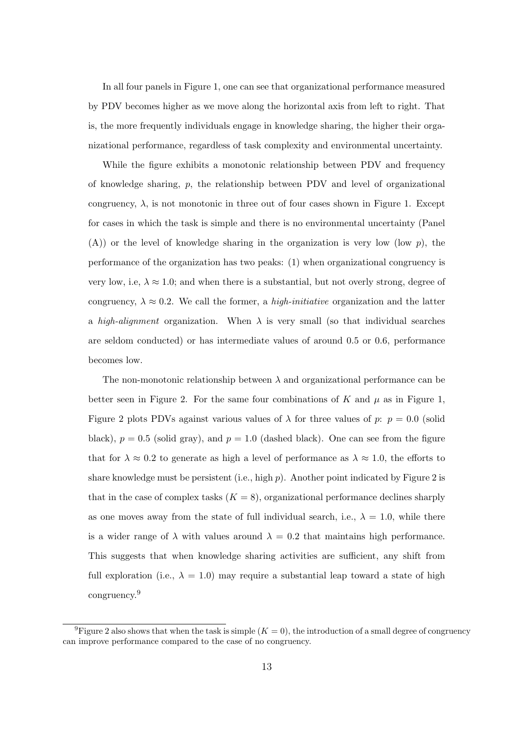In all four panels in Figure 1, one can see that organizational performance measured by PDV becomes higher as we move along the horizontal axis from left to right. That is, the more frequently individuals engage in knowledge sharing, the higher their organizational performance, regardless of task complexity and environmental uncertainty.

While the figure exhibits a monotonic relationship between PDV and frequency of knowledge sharing, *p*, the relationship between PDV and level of organizational congruency,  $\lambda$ , is not monotonic in three out of four cases shown in Figure 1. Except for cases in which the task is simple and there is no environmental uncertainty (Panel (A)) or the level of knowledge sharing in the organization is very low (low *p*), the performance of the organization has two peaks: (1) when organizational congruency is very low, i.e,  $\lambda \approx 1.0$ ; and when there is a substantial, but not overly strong, degree of congruency,  $\lambda \approx 0.2$ . We call the former, a *high-initiative* organization and the latter a *high-alignment* organization. When  $\lambda$  is very small (so that individual searches are seldom conducted) or has intermediate values of around 0.5 or 0.6, performance becomes low.

The non-monotonic relationship between *λ* and organizational performance can be better seen in Figure 2. For the same four combinations of  $K$  and  $\mu$  as in Figure 1, Figure 2 plots PDVs against various values of  $\lambda$  for three values of  $p: p = 0.0$  (solid black),  $p = 0.5$  (solid gray), and  $p = 1.0$  (dashed black). One can see from the figure that for  $\lambda \approx 0.2$  to generate as high a level of performance as  $\lambda \approx 1.0$ , the efforts to share knowledge must be persistent (i.e., high *p*). Another point indicated by Figure 2 is that in the case of complex tasks  $(K = 8)$ , organizational performance declines sharply as one moves away from the state of full individual search, i.e.,  $\lambda = 1.0$ , while there is a wider range of  $\lambda$  with values around  $\lambda = 0.2$  that maintains high performance. This suggests that when knowledge sharing activities are sufficient, any shift from full exploration (i.e.,  $\lambda = 1.0$ ) may require a substantial leap toward a state of high congruency.<sup>9</sup>

<sup>&</sup>lt;sup>9</sup>Figure 2 also shows that when the task is simple  $(K = 0)$ , the introduction of a small degree of congruency can improve performance compared to the case of no congruency.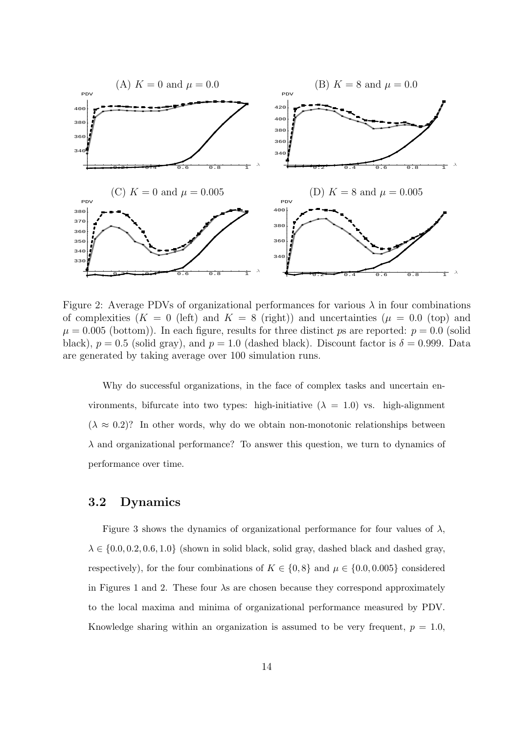

Figure 2: Average PDVs of organizational performances for various  $\lambda$  in four combinations of complexities  $(K = 0$  (left) and  $K = 8$  (right)) and uncertainties  $(\mu = 0.0$  (top) and  $\mu = 0.005$  (bottom)). In each figure, results for three distinct *ps* are reported:  $p = 0.0$  (solid black),  $p = 0.5$  (solid gray), and  $p = 1.0$  (dashed black). Discount factor is  $\delta = 0.999$ . Data are generated by taking average over 100 simulation runs.

Why do successful organizations, in the face of complex tasks and uncertain environments, bifurcate into two types: high-initiative  $(\lambda = 1.0)$  vs. high-alignment  $(\lambda \approx 0.2)$ ? In other words, why do we obtain non-monotonic relationships between *λ* and organizational performance? To answer this question, we turn to dynamics of performance over time.

#### **3.2 Dynamics**

Figure 3 shows the dynamics of organizational performance for four values of  $\lambda$ ,  $\lambda \in \{0.0, 0.2, 0.6, 1.0\}$  (shown in solid black, solid gray, dashed black and dashed gray, respectively), for the four combinations of  $K \in \{0, 8\}$  and  $\mu \in \{0.0, 0.005\}$  considered in Figures 1 and 2. These four *λ*s are chosen because they correspond approximately to the local maxima and minima of organizational performance measured by PDV. Knowledge sharing within an organization is assumed to be very frequent,  $p = 1.0$ ,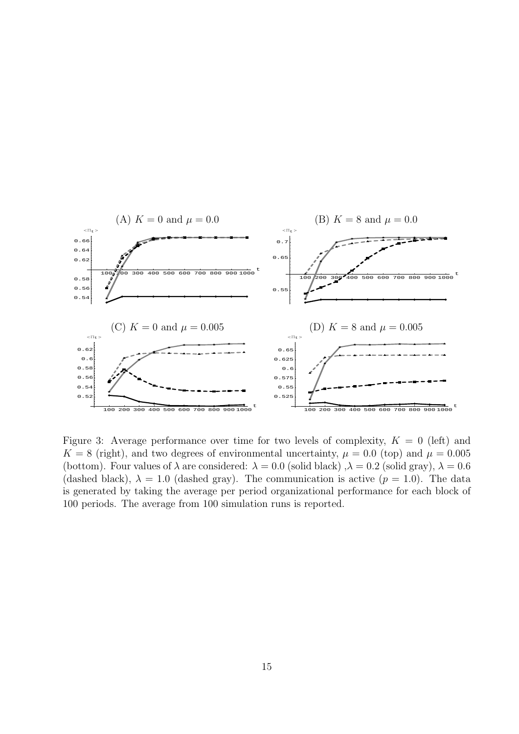

Figure 3: Average performance over time for two levels of complexity,  $K = 0$  (left) and  $K = 8$  (right), and two degrees of environmental uncertainty,  $\mu = 0.0$  (top) and  $\mu = 0.005$ (bottom). Four values of  $\lambda$  are considered:  $\lambda = 0.0$  (solid black)  $\lambda = 0.2$  (solid gray),  $\lambda = 0.6$ (dashed black),  $\lambda = 1.0$  (dashed gray). The communication is active ( $p = 1.0$ ). The data is generated by taking the average per period organizational performance for each block of 100 periods. The average from 100 simulation runs is reported.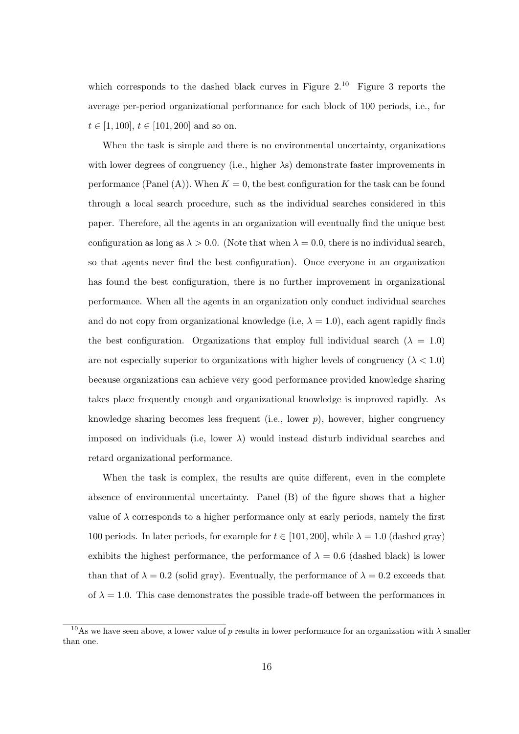which corresponds to the dashed black curves in Figure  $2^{10}$  Figure 3 reports the average per-period organizational performance for each block of 100 periods, i.e., for  $t \in [1, 100], t \in [101, 200]$  and so on.

When the task is simple and there is no environmental uncertainty, organizations with lower degrees of congruency (i.e., higher *λ*s) demonstrate faster improvements in performance (Panel  $(A)$ ). When  $K = 0$ , the best configuration for the task can be found through a local search procedure, such as the individual searches considered in this paper. Therefore, all the agents in an organization will eventually find the unique best configuration as long as  $\lambda > 0.0$ . (Note that when  $\lambda = 0.0$ , there is no individual search, so that agents never find the best configuration). Once everyone in an organization has found the best configuration, there is no further improvement in organizational performance. When all the agents in an organization only conduct individual searches and do not copy from organizational knowledge (i.e,  $\lambda = 1.0$ ), each agent rapidly finds the best configuration. Organizations that employ full individual search  $(\lambda = 1.0)$ are not especially superior to organizations with higher levels of congruency  $(\lambda < 1.0)$ because organizations can achieve very good performance provided knowledge sharing takes place frequently enough and organizational knowledge is improved rapidly. As knowledge sharing becomes less frequent (i.e., lower *p*), however, higher congruency imposed on individuals (i.e, lower  $\lambda$ ) would instead disturb individual searches and retard organizational performance.

When the task is complex, the results are quite different, even in the complete absence of environmental uncertainty. Panel (B) of the figure shows that a higher value of  $\lambda$  corresponds to a higher performance only at early periods, namely the first 100 periods. In later periods, for example for  $t \in [101, 200]$ , while  $\lambda = 1.0$  (dashed gray) exhibits the highest performance, the performance of  $\lambda = 0.6$  (dashed black) is lower than that of  $\lambda = 0.2$  (solid gray). Eventually, the performance of  $\lambda = 0.2$  exceeds that of  $\lambda = 1.0$ . This case demonstrates the possible trade-off between the performances in

<sup>&</sup>lt;sup>10</sup>As we have seen above, a lower value of *p* results in lower performance for an organization with  $\lambda$  smaller than one.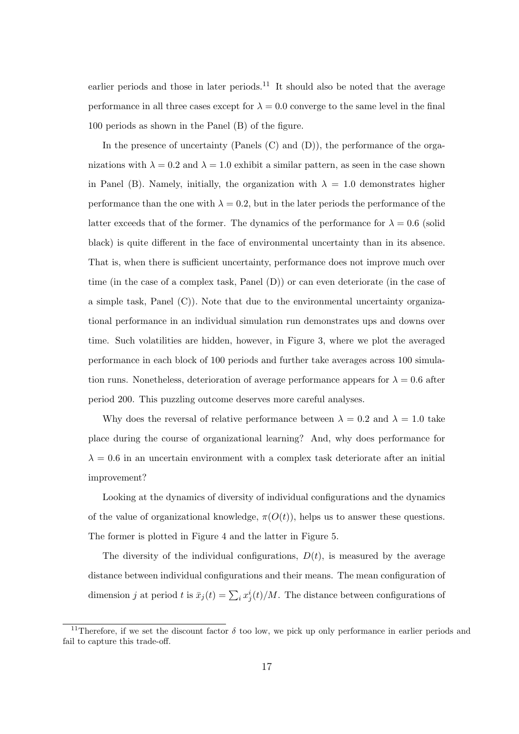earlier periods and those in later periods.<sup>11</sup> It should also be noted that the average performance in all three cases except for  $\lambda = 0.0$  converge to the same level in the final 100 periods as shown in the Panel (B) of the figure.

In the presence of uncertainty (Panels (C) and (D)), the performance of the organizations with  $\lambda = 0.2$  and  $\lambda = 1.0$  exhibit a similar pattern, as seen in the case shown in Panel (B). Namely, initially, the organization with  $\lambda = 1.0$  demonstrates higher performance than the one with  $\lambda = 0.2$ , but in the later periods the performance of the latter exceeds that of the former. The dynamics of the performance for  $\lambda = 0.6$  (solid black) is quite different in the face of environmental uncertainty than in its absence. That is, when there is sufficient uncertainty, performance does not improve much over time (in the case of a complex task, Panel (D)) or can even deteriorate (in the case of a simple task, Panel (C)). Note that due to the environmental uncertainty organizational performance in an individual simulation run demonstrates ups and downs over time. Such volatilities are hidden, however, in Figure 3, where we plot the averaged performance in each block of 100 periods and further take averages across 100 simulation runs. Nonetheless, deterioration of average performance appears for  $\lambda = 0.6$  after period 200. This puzzling outcome deserves more careful analyses.

Why does the reversal of relative performance between  $\lambda = 0.2$  and  $\lambda = 1.0$  take place during the course of organizational learning? And, why does performance for  $\lambda = 0.6$  in an uncertain environment with a complex task deteriorate after an initial improvement?

Looking at the dynamics of diversity of individual configurations and the dynamics of the value of organizational knowledge,  $\pi(O(t))$ , helps us to answer these questions. The former is plotted in Figure 4 and the latter in Figure 5.

The diversity of the individual configurations,  $D(t)$ , is measured by the average distance between individual configurations and their means. The mean configuration of dimension *j* at period *t* is  $\bar{x}_j(t) = \sum_i x_j^i(t)/M$ . The distance between configurations of

<sup>&</sup>lt;sup>11</sup>Therefore, if we set the discount factor  $\delta$  too low, we pick up only performance in earlier periods and fail to capture this trade-off.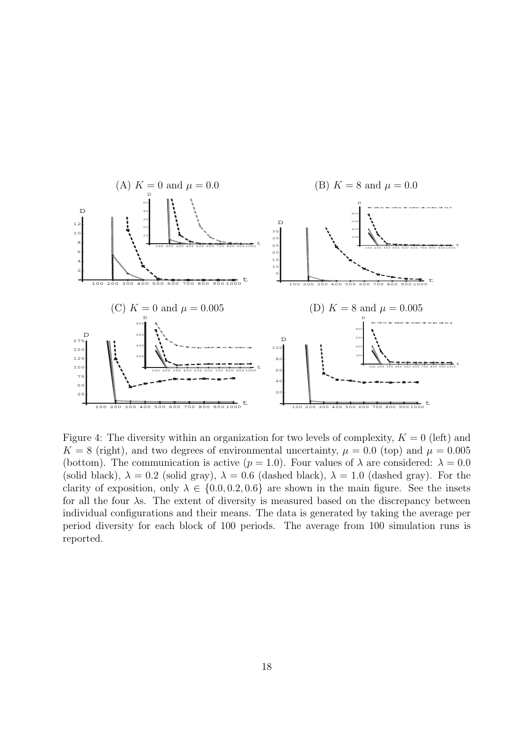

Figure 4: The diversity within an organization for two levels of complexity,  $K = 0$  (left) and  $K = 8$  (right), and two degrees of environmental uncertainty,  $\mu = 0.0$  (top) and  $\mu = 0.005$ (bottom). The communication is active  $(p = 1.0)$ . Four values of  $\lambda$  are considered:  $\lambda = 0.0$ (solid black),  $\lambda = 0.2$  (solid gray),  $\lambda = 0.6$  (dashed black),  $\lambda = 1.0$  (dashed gray). For the clarity of exposition, only  $\lambda \in \{0.0, 0.2, 0.6\}$  are shown in the main figure. See the insets for all the four *λ*s. The extent of diversity is measured based on the discrepancy between individual configurations and their means. The data is generated by taking the average per period diversity for each block of 100 periods. The average from 100 simulation runs is reported.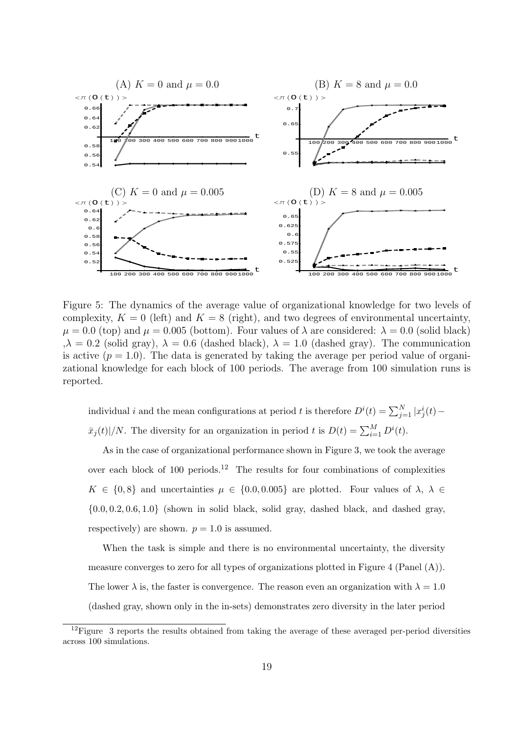

Figure 5: The dynamics of the average value of organizational knowledge for two levels of complexity,  $K = 0$  (left) and  $K = 8$  (right), and two degrees of environmental uncertainty,  $\mu = 0.0$  (top) and  $\mu = 0.005$  (bottom). Four values of  $\lambda$  are considered:  $\lambda = 0.0$  (solid black)  $,\lambda = 0.2$  (solid gray),  $\lambda = 0.6$  (dashed black),  $\lambda = 1.0$  (dashed gray). The communication is active  $(p = 1.0)$ . The data is generated by taking the average per period value of organizational knowledge for each block of 100 periods. The average from 100 simulation runs is reported.

individual *i* and the mean configurations at period *t* is therefore  $D^{i}(t) = \sum_{j=1}^{N} |x_{j}^{i}(t) \bar{x}_j(t)$  |*/N*. The diversity for an organization in period *t* is  $D(t) = \sum_{i=1}^{M} D^i(t)$ .

As in the case of organizational performance shown in Figure 3, we took the average over each block of 100 periods.<sup>12</sup> The results for four combinations of complexities  $K \in \{0, 8\}$  and uncertainties  $\mu \in \{0.0, 0.005\}$  are plotted. Four values of  $\lambda$ ,  $\lambda \in$ *{*0*.*0*,* 0*.*2*,* 0*.*6*,* 1*.*0*}* (shown in solid black, solid gray, dashed black, and dashed gray, respectively) are shown.  $p = 1.0$  is assumed.

When the task is simple and there is no environmental uncertainty, the diversity measure converges to zero for all types of organizations plotted in Figure 4 (Panel (A)). The lower  $\lambda$  is, the faster is convergence. The reason even an organization with  $\lambda = 1.0$ (dashed gray, shown only in the in-sets) demonstrates zero diversity in the later period

 $12$  Figure 3 reports the results obtained from taking the average of these averaged per-period diversities across 100 simulations.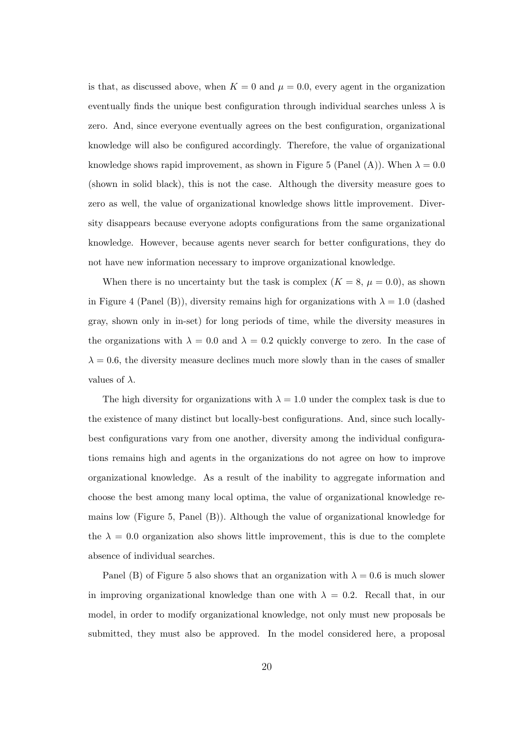is that, as discussed above, when  $K = 0$  and  $\mu = 0.0$ , every agent in the organization eventually finds the unique best configuration through individual searches unless  $\lambda$  is zero. And, since everyone eventually agrees on the best configuration, organizational knowledge will also be configured accordingly. Therefore, the value of organizational knowledge shows rapid improvement, as shown in Figure 5 (Panel (A)). When  $\lambda = 0.0$ (shown in solid black), this is not the case. Although the diversity measure goes to zero as well, the value of organizational knowledge shows little improvement. Diversity disappears because everyone adopts configurations from the same organizational knowledge. However, because agents never search for better configurations, they do not have new information necessary to improve organizational knowledge.

When there is no uncertainty but the task is complex  $(K = 8, \mu = 0.0)$ , as shown in Figure 4 (Panel (B)), diversity remains high for organizations with  $\lambda = 1.0$  (dashed gray, shown only in in-set) for long periods of time, while the diversity measures in the organizations with  $\lambda = 0.0$  and  $\lambda = 0.2$  quickly converge to zero. In the case of  $\lambda = 0.6$ , the diversity measure declines much more slowly than in the cases of smaller values of *λ*.

The high diversity for organizations with  $\lambda = 1.0$  under the complex task is due to the existence of many distinct but locally-best configurations. And, since such locallybest configurations vary from one another, diversity among the individual configurations remains high and agents in the organizations do not agree on how to improve organizational knowledge. As a result of the inability to aggregate information and choose the best among many local optima, the value of organizational knowledge remains low (Figure 5, Panel (B)). Although the value of organizational knowledge for the  $\lambda = 0.0$  organization also shows little improvement, this is due to the complete absence of individual searches.

Panel (B) of Figure 5 also shows that an organization with  $\lambda = 0.6$  is much slower in improving organizational knowledge than one with  $\lambda = 0.2$ . Recall that, in our model, in order to modify organizational knowledge, not only must new proposals be submitted, they must also be approved. In the model considered here, a proposal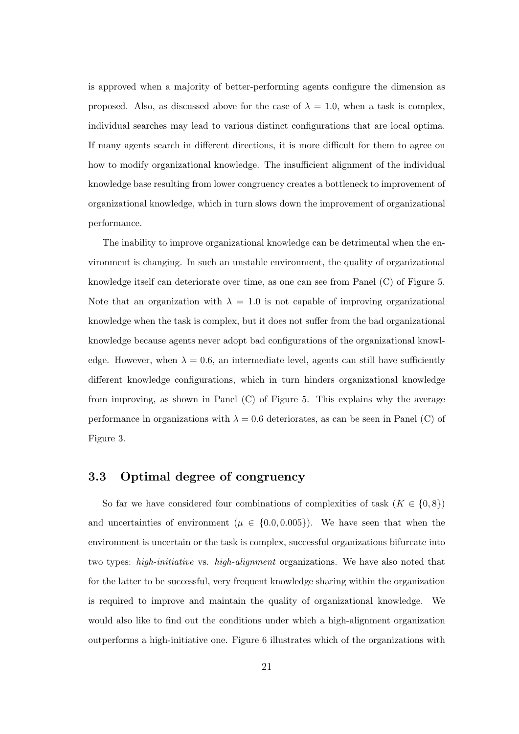is approved when a majority of better-performing agents configure the dimension as proposed. Also, as discussed above for the case of  $\lambda = 1.0$ , when a task is complex, individual searches may lead to various distinct configurations that are local optima. If many agents search in different directions, it is more difficult for them to agree on how to modify organizational knowledge. The insufficient alignment of the individual knowledge base resulting from lower congruency creates a bottleneck to improvement of organizational knowledge, which in turn slows down the improvement of organizational performance.

The inability to improve organizational knowledge can be detrimental when the environment is changing. In such an unstable environment, the quality of organizational knowledge itself can deteriorate over time, as one can see from Panel (C) of Figure 5. Note that an organization with  $\lambda = 1.0$  is not capable of improving organizational knowledge when the task is complex, but it does not suffer from the bad organizational knowledge because agents never adopt bad configurations of the organizational knowledge. However, when  $\lambda = 0.6$ , an intermediate level, agents can still have sufficiently different knowledge configurations, which in turn hinders organizational knowledge from improving, as shown in Panel (C) of Figure 5. This explains why the average performance in organizations with  $\lambda = 0.6$  deteriorates, as can be seen in Panel (C) of Figure 3.

#### **3.3 Optimal degree of congruency**

So far we have considered four combinations of complexities of task  $(K \in \{0, 8\})$ and uncertainties of environment ( $\mu \in \{0.0, 0.005\}$ ). We have seen that when the environment is uncertain or the task is complex, successful organizations bifurcate into two types: *high-initiative* vs. *high-alignment* organizations. We have also noted that for the latter to be successful, very frequent knowledge sharing within the organization is required to improve and maintain the quality of organizational knowledge. We would also like to find out the conditions under which a high-alignment organization outperforms a high-initiative one. Figure 6 illustrates which of the organizations with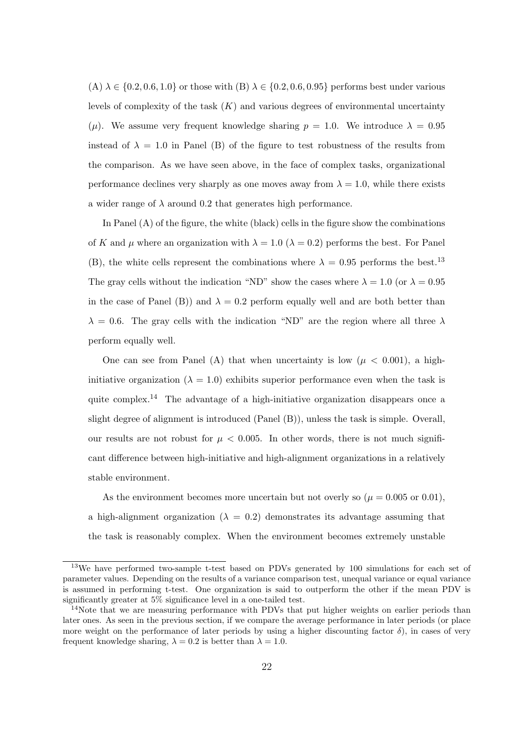$(A) \lambda \in \{0.2, 0.6, 1.0\}$  or those with  $(B) \lambda \in \{0.2, 0.6, 0.95\}$  performs best under various levels of complexity of the task (*K*) and various degrees of environmental uncertainty ( $\mu$ ). We assume very frequent knowledge sharing  $p = 1.0$ . We introduce  $\lambda = 0.95$ instead of  $\lambda = 1.0$  in Panel (B) of the figure to test robustness of the results from the comparison. As we have seen above, in the face of complex tasks, organizational performance declines very sharply as one moves away from  $\lambda = 1.0$ , while there exists a wider range of  $\lambda$  around 0.2 that generates high performance.

In Panel  $(A)$  of the figure, the white (black) cells in the figure show the combinations of *K* and  $\mu$  where an organization with  $\lambda = 1.0$  ( $\lambda = 0.2$ ) performs the best. For Panel (B), the white cells represent the combinations where  $\lambda = 0.95$  performs the best.<sup>13</sup> The gray cells without the indication "ND" show the cases where  $\lambda = 1.0$  (or  $\lambda = 0.95$ ) in the case of Panel (B)) and  $\lambda = 0.2$  perform equally well and are both better than  $\lambda = 0.6$ . The gray cells with the indication "ND" are the region where all three  $\lambda$ perform equally well.

One can see from Panel (A) that when uncertainty is low ( $\mu$  < 0.001), a highinitiative organization ( $\lambda = 1.0$ ) exhibits superior performance even when the task is quite complex.<sup>14</sup> The advantage of a high-initiative organization disappears once a slight degree of alignment is introduced (Panel (B)), unless the task is simple. Overall, our results are not robust for  $\mu$  < 0.005. In other words, there is not much significant difference between high-initiative and high-alignment organizations in a relatively stable environment.

As the environment becomes more uncertain but not overly so ( $\mu = 0.005$  or 0.01). a high-alignment organization  $(\lambda = 0.2)$  demonstrates its advantage assuming that the task is reasonably complex. When the environment becomes extremely unstable

<sup>&</sup>lt;sup>13</sup>We have performed two-sample t-test based on PDVs generated by 100 simulations for each set of parameter values. Depending on the results of a variance comparison test, unequal variance or equal variance is assumed in performing t-test. One organization is said to outperform the other if the mean PDV is significantly greater at 5% significance level in a one-tailed test.

<sup>&</sup>lt;sup>14</sup>Note that we are measuring performance with PDVs that put higher weights on earlier periods than later ones. As seen in the previous section, if we compare the average performance in later periods (or place more weight on the performance of later periods by using a higher discounting factor  $\delta$ ), in cases of very frequent knowledge sharing,  $\lambda = 0.2$  is better than  $\lambda = 1.0$ .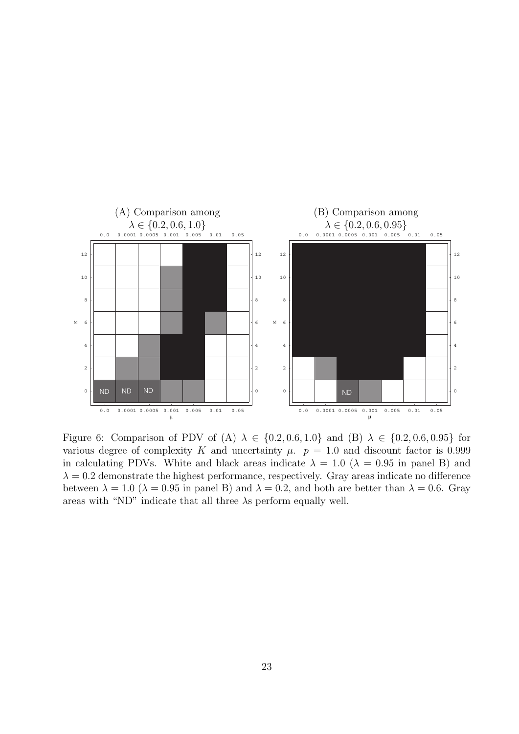

Figure 6: Comparison of PDV of (A)  $\lambda \in \{0.2, 0.6, 1.0\}$  and (B)  $\lambda \in \{0.2, 0.6, 0.95\}$  for various degree of complexity *K* and uncertainty  $\mu$ .  $p = 1.0$  and discount factor is 0.999 in calculating PDVs. White and black areas indicate  $\lambda = 1.0$  ( $\lambda = 0.95$  in panel B) and  $\lambda = 0.2$  demonstrate the highest performance, respectively. Gray areas indicate no difference between  $\lambda = 1.0$  ( $\lambda = 0.95$  in panel B) and  $\lambda = 0.2$ , and both are better than  $\lambda = 0.6$ . Gray areas with "ND" indicate that all three *λ*s perform equally well.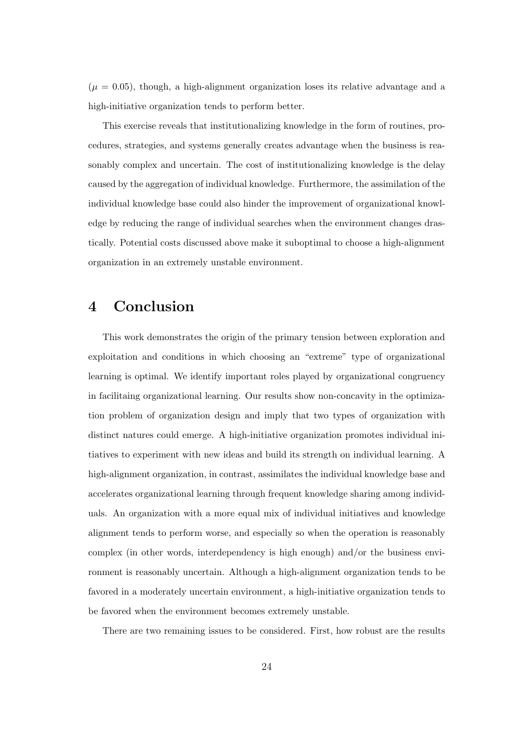$(\mu = 0.05)$ , though, a high-alignment organization loses its relative advantage and a high-initiative organization tends to perform better.

This exercise reveals that institutionalizing knowledge in the form of routines, procedures, strategies, and systems generally creates advantage when the business is reasonably complex and uncertain. The cost of institutionalizing knowledge is the delay caused by the aggregation of individual knowledge. Furthermore, the assimilation of the individual knowledge base could also hinder the improvement of organizational knowledge by reducing the range of individual searches when the environment changes drastically. Potential costs discussed above make it suboptimal to choose a high-alignment organization in an extremely unstable environment.

### **4 Conclusion**

This work demonstrates the origin of the primary tension between exploration and exploitation and conditions in which choosing an "extreme" type of organizational learning is optimal. We identify important roles played by organizational congruency in facilitaing organizational learning. Our results show non-concavity in the optimization problem of organization design and imply that two types of organization with distinct natures could emerge. A high-initiative organization promotes individual initiatives to experiment with new ideas and build its strength on individual learning. A high-alignment organization, in contrast, assimilates the individual knowledge base and accelerates organizational learning through frequent knowledge sharing among individuals. An organization with a more equal mix of individual initiatives and knowledge alignment tends to perform worse, and especially so when the operation is reasonably complex (in other words, interdependency is high enough) and/or the business environment is reasonably uncertain. Although a high-alignment organization tends to be favored in a moderately uncertain environment, a high-initiative organization tends to be favored when the environment becomes extremely unstable.

There are two remaining issues to be considered. First, how robust are the results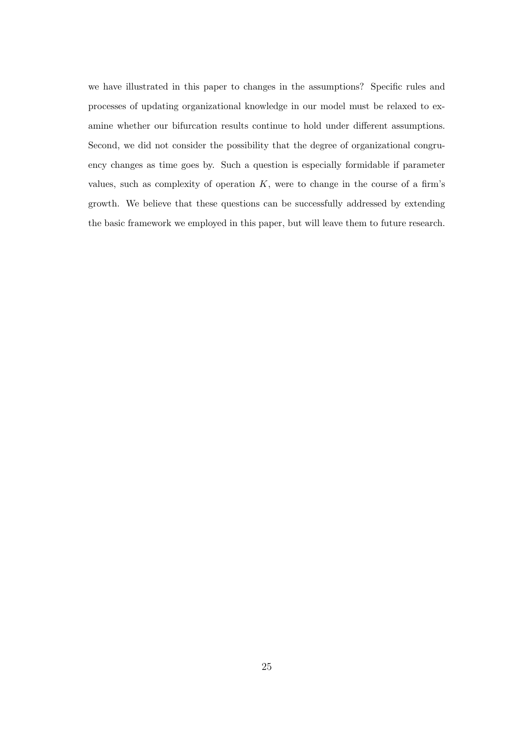we have illustrated in this paper to changes in the assumptions? Specific rules and processes of updating organizational knowledge in our model must be relaxed to examine whether our bifurcation results continue to hold under different assumptions. Second, we did not consider the possibility that the degree of organizational congruency changes as time goes by. Such a question is especially formidable if parameter values, such as complexity of operation *K*, were to change in the course of a firm's growth. We believe that these questions can be successfully addressed by extending the basic framework we employed in this paper, but will leave them to future research.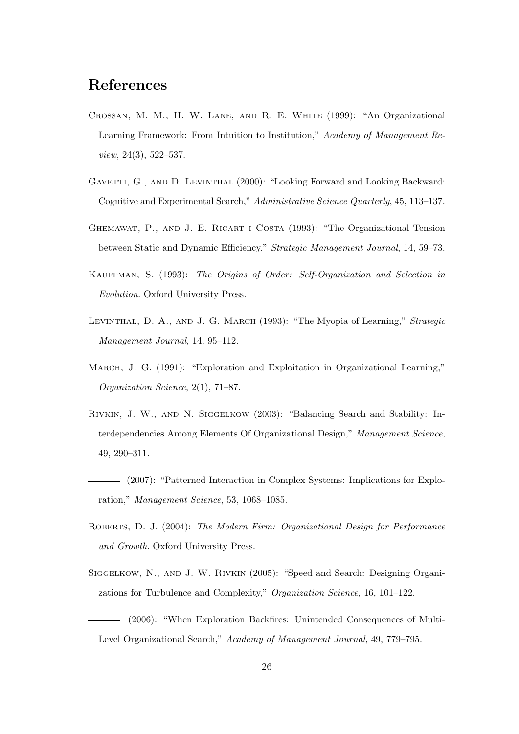### **References**

- Crossan, M. M., H. W. Lane, and R. E. White (1999): "An Organizational Learning Framework: From Intuition to Institution," *Academy of Management Review*, 24(3), 522–537.
- GAVETTI, G., AND D. LEVINTHAL (2000): "Looking Forward and Looking Backward: Cognitive and Experimental Search," *Administrative Science Quarterly*, 45, 113–137.
- Ghemawat, P., and J. E. Ricart i Costa (1993): "The Organizational Tension between Static and Dynamic Efficiency," *Strategic Management Journal*, 14, 59–73.
- Kauffman, S. (1993): *The Origins of Order: Self-Organization and Selection in Evolution*. Oxford University Press.
- Levinthal, D. A., and J. G. March (1993): "The Myopia of Learning," *Strategic Management Journal*, 14, 95–112.
- March, J. G. (1991): "Exploration and Exploitation in Organizational Learning," *Organization Science*, 2(1), 71–87.
- Rivkin, J. W., and N. Siggelkow (2003): "Balancing Search and Stability: Interdependencies Among Elements Of Organizational Design," *Management Science*, 49, 290–311.
- (2007): "Patterned Interaction in Complex Systems: Implications for Exploration," *Management Science*, 53, 1068–1085.
- Roberts, D. J. (2004): *The Modern Firm: Organizational Design for Performance and Growth*. Oxford University Press.
- Siggelkow, N., and J. W. Rivkin (2005): "Speed and Search: Designing Organizations for Turbulence and Complexity," *Organization Science*, 16, 101–122.
- (2006): "When Exploration Backfires: Unintended Consequences of Multi-Level Organizational Search," *Academy of Management Journal*, 49, 779–795.